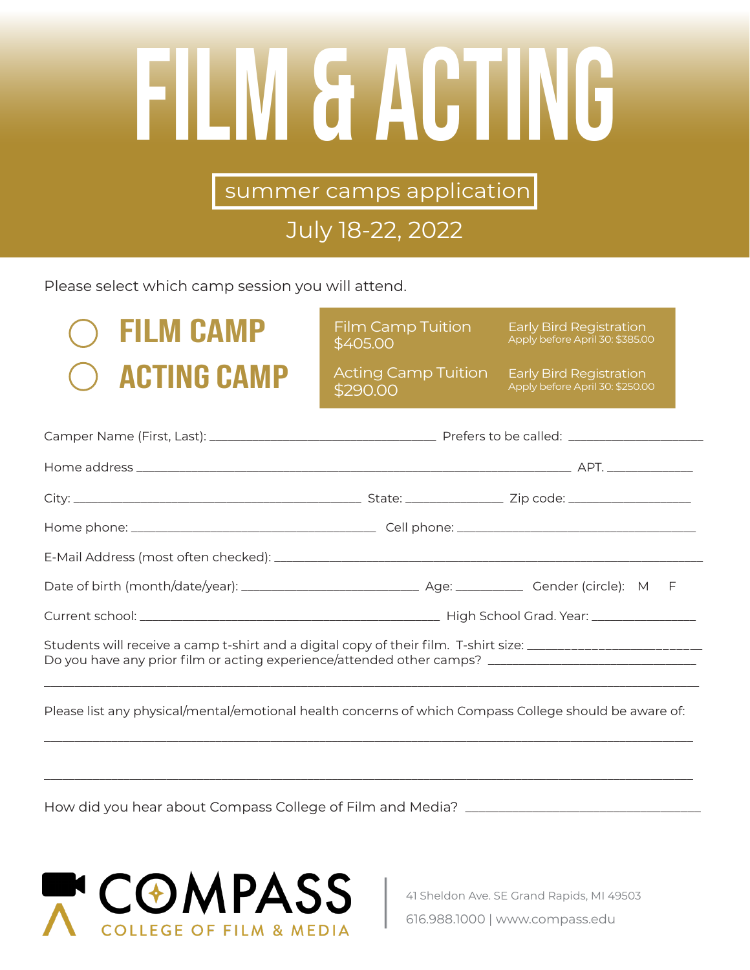# Film & Acting

summer camps application

## July 18-22, 2022

Please select which camp session you will attend.

## FILM CAMP Film Camp Tuition Early Bird Registration **ACTING CAMP**

\$405.00 Film Camp Tuition

Apply before April 30: \$385.00

\$290.00 Acting Camp Tuition

Early Bird Registration<br>Apply before April 30: \$250.00

| Students will receive a camp t-shirt and a digital copy of their film. T-shirt size: _________________________<br>Do you have any prior film or acting experience/attended other camps? ______________________________ |  |  |
|------------------------------------------------------------------------------------------------------------------------------------------------------------------------------------------------------------------------|--|--|
|                                                                                                                                                                                                                        |  |  |

Please list any physical/mental/emotional health concerns of which Compass College should be aware of:

\_\_\_\_\_\_\_\_\_\_\_\_\_\_\_\_\_\_\_\_\_\_\_\_\_\_\_\_\_\_\_\_\_\_\_\_\_\_\_\_\_\_\_\_\_\_\_\_\_\_\_\_\_\_\_\_\_\_\_\_\_\_\_\_\_\_\_\_\_\_\_\_\_\_\_\_\_\_\_\_\_\_\_\_\_\_\_\_\_\_\_\_\_\_\_\_\_\_\_\_\_\_\_\_\_\_

\_\_\_\_\_\_\_\_\_\_\_\_\_\_\_\_\_\_\_\_\_\_\_\_\_\_\_\_\_\_\_\_\_\_\_\_\_\_\_\_\_\_\_\_\_\_\_\_\_\_\_\_\_\_\_\_\_\_\_\_\_\_\_\_\_\_\_\_\_\_\_\_\_\_\_\_\_\_\_\_\_\_\_\_\_\_\_\_\_\_\_\_\_\_\_\_\_\_\_\_\_\_\_\_\_\_

How did you hear about Compass College of Film and Media? \_\_\_\_\_\_\_\_\_\_